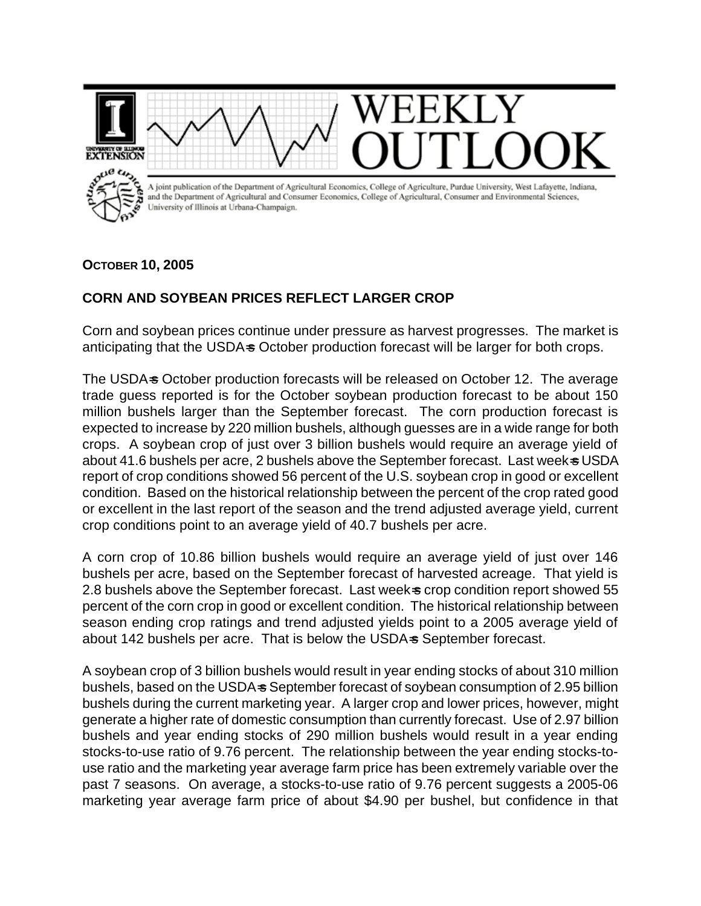

## **OCTOBER 10, 2005**

## **CORN AND SOYBEAN PRICES REFLECT LARGER CROP**

Corn and soybean prices continue under pressure as harvest progresses. The market is anticipating that the USDA-s October production forecast will be larger for both crops.

The USDA=s October production forecasts will be released on October 12. The average trade guess reported is for the October soybean production forecast to be about 150 million bushels larger than the September forecast. The corn production forecast is expected to increase by 220 million bushels, although guesses are in a wide range for both crops. A soybean crop of just over 3 billion bushels would require an average yield of about 41.6 bushels per acre, 2 bushels above the September forecast. Last week= USDA report of crop conditions showed 56 percent of the U.S. soybean crop in good or excellent condition. Based on the historical relationship between the percent of the crop rated good or excellent in the last report of the season and the trend adjusted average yield, current crop conditions point to an average yield of 40.7 bushels per acre.

A corn crop of 10.86 billion bushels would require an average yield of just over 146 bushels per acre, based on the September forecast of harvested acreage. That yield is 2.8 bushels above the September forecast. Last week-s crop condition report showed 55 percent of the corn crop in good or excellent condition. The historical relationship between season ending crop ratings and trend adjusted yields point to a 2005 average yield of about 142 bushels per acre. That is below the USDA-s September forecast.

A soybean crop of 3 billion bushels would result in year ending stocks of about 310 million bushels, based on the USDA=s September forecast of soybean consumption of 2.95 billion bushels during the current marketing year. A larger crop and lower prices, however, might generate a higher rate of domestic consumption than currently forecast. Use of 2.97 billion bushels and year ending stocks of 290 million bushels would result in a year ending stocks-to-use ratio of 9.76 percent. The relationship between the year ending stocks-touse ratio and the marketing year average farm price has been extremely variable over the past 7 seasons. On average, a stocks-to-use ratio of 9.76 percent suggests a 2005-06 marketing year average farm price of about \$4.90 per bushel, but confidence in that